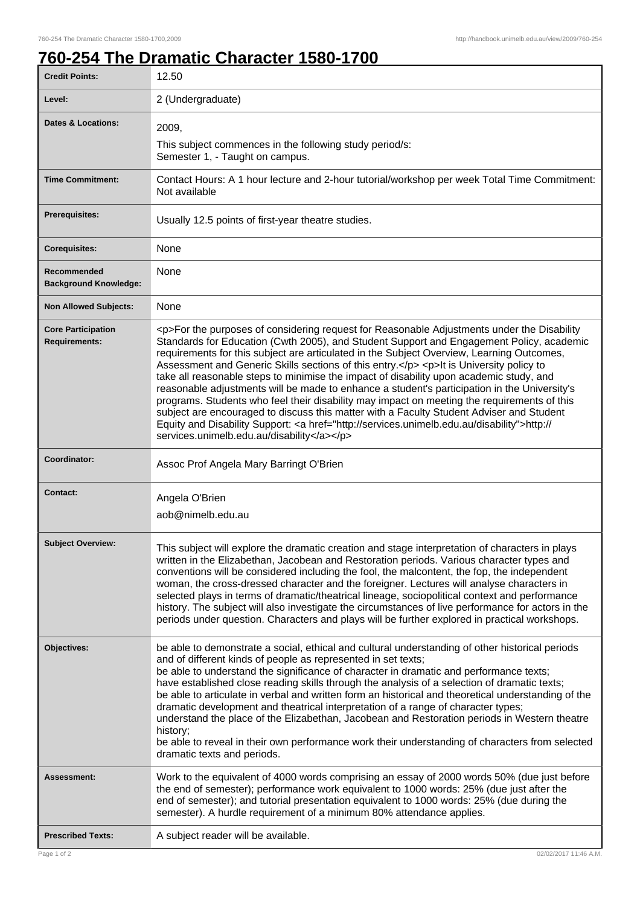## **760-254 The Dramatic Character 1580-1700**

| <b>Credit Points:</b>                             | 12.50                                                                                                                                                                                                                                                                                                                                                                                                                                                                                                                                                                                                                                                                                                                                                                                                                                                                                                                        |
|---------------------------------------------------|------------------------------------------------------------------------------------------------------------------------------------------------------------------------------------------------------------------------------------------------------------------------------------------------------------------------------------------------------------------------------------------------------------------------------------------------------------------------------------------------------------------------------------------------------------------------------------------------------------------------------------------------------------------------------------------------------------------------------------------------------------------------------------------------------------------------------------------------------------------------------------------------------------------------------|
| Level:                                            | 2 (Undergraduate)                                                                                                                                                                                                                                                                                                                                                                                                                                                                                                                                                                                                                                                                                                                                                                                                                                                                                                            |
| <b>Dates &amp; Locations:</b>                     | 2009,                                                                                                                                                                                                                                                                                                                                                                                                                                                                                                                                                                                                                                                                                                                                                                                                                                                                                                                        |
|                                                   | This subject commences in the following study period/s:<br>Semester 1, - Taught on campus.                                                                                                                                                                                                                                                                                                                                                                                                                                                                                                                                                                                                                                                                                                                                                                                                                                   |
| <b>Time Commitment:</b>                           | Contact Hours: A 1 hour lecture and 2-hour tutorial/workshop per week Total Time Commitment:<br>Not available                                                                                                                                                                                                                                                                                                                                                                                                                                                                                                                                                                                                                                                                                                                                                                                                                |
| <b>Prerequisites:</b>                             | Usually 12.5 points of first-year theatre studies.                                                                                                                                                                                                                                                                                                                                                                                                                                                                                                                                                                                                                                                                                                                                                                                                                                                                           |
| <b>Corequisites:</b>                              | None                                                                                                                                                                                                                                                                                                                                                                                                                                                                                                                                                                                                                                                                                                                                                                                                                                                                                                                         |
| Recommended<br><b>Background Knowledge:</b>       | None                                                                                                                                                                                                                                                                                                                                                                                                                                                                                                                                                                                                                                                                                                                                                                                                                                                                                                                         |
| <b>Non Allowed Subjects:</b>                      | None                                                                                                                                                                                                                                                                                                                                                                                                                                                                                                                                                                                                                                                                                                                                                                                                                                                                                                                         |
| <b>Core Participation</b><br><b>Requirements:</b> | <p>For the purposes of considering request for Reasonable Adjustments under the Disability<br/>Standards for Education (Cwth 2005), and Student Support and Engagement Policy, academic<br/>requirements for this subject are articulated in the Subject Overview, Learning Outcomes,<br/>Assessment and Generic Skills sections of this entry.</p> <p>lt is University policy to<br/>take all reasonable steps to minimise the impact of disability upon academic study, and<br/>reasonable adjustments will be made to enhance a student's participation in the University's<br/>programs. Students who feel their disability may impact on meeting the requirements of this<br/>subject are encouraged to discuss this matter with a Faculty Student Adviser and Student<br/>Equity and Disability Support: &lt; a href="http://services.unimelb.edu.au/disability"&gt;http://<br/>services.unimelb.edu.au/disability</p> |
| Coordinator:                                      | Assoc Prof Angela Mary Barringt O'Brien                                                                                                                                                                                                                                                                                                                                                                                                                                                                                                                                                                                                                                                                                                                                                                                                                                                                                      |
| <b>Contact:</b>                                   | Angela O'Brien<br>aob@nimelb.edu.au                                                                                                                                                                                                                                                                                                                                                                                                                                                                                                                                                                                                                                                                                                                                                                                                                                                                                          |
| <b>Subject Overview:</b>                          | This subject will explore the dramatic creation and stage interpretation of characters in plays<br>written in the Elizabethan, Jacobean and Restoration periods. Various character types and<br>conventions will be considered including the fool, the malcontent, the fop, the independent<br>woman, the cross-dressed character and the foreigner. Lectures will analyse characters in<br>selected plays in terms of dramatic/theatrical lineage, sociopolitical context and performance<br>history. The subject will also investigate the circumstances of live performance for actors in the<br>periods under question. Characters and plays will be further explored in practical workshops.                                                                                                                                                                                                                            |
| Objectives:                                       | be able to demonstrate a social, ethical and cultural understanding of other historical periods<br>and of different kinds of people as represented in set texts;<br>be able to understand the significance of character in dramatic and performance texts;<br>have established close reading skills through the analysis of a selection of dramatic texts;<br>be able to articulate in verbal and written form an historical and theoretical understanding of the<br>dramatic development and theatrical interpretation of a range of character types;<br>understand the place of the Elizabethan, Jacobean and Restoration periods in Western theatre<br>history;<br>be able to reveal in their own performance work their understanding of characters from selected<br>dramatic texts and periods.                                                                                                                         |
| Assessment:                                       | Work to the equivalent of 4000 words comprising an essay of 2000 words 50% (due just before<br>the end of semester); performance work equivalent to 1000 words: 25% (due just after the<br>end of semester); and tutorial presentation equivalent to 1000 words: 25% (due during the<br>semester). A hurdle requirement of a minimum 80% attendance applies.                                                                                                                                                                                                                                                                                                                                                                                                                                                                                                                                                                 |
| <b>Prescribed Texts:</b>                          | A subject reader will be available.                                                                                                                                                                                                                                                                                                                                                                                                                                                                                                                                                                                                                                                                                                                                                                                                                                                                                          |
| Page 1 of 2                                       | 02/02/2017 11:46 A.M.                                                                                                                                                                                                                                                                                                                                                                                                                                                                                                                                                                                                                                                                                                                                                                                                                                                                                                        |